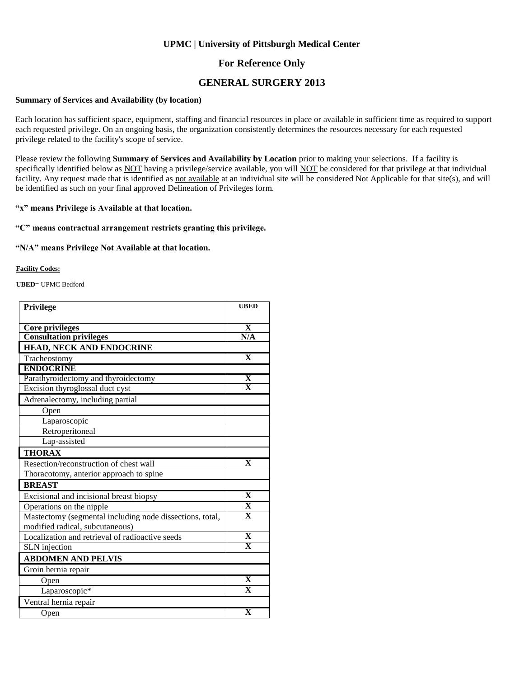#### **For Reference Only**

#### **GENERAL SURGERY 2013**

#### **Summary of Services and Availability (by location)**

Each location has sufficient space, equipment, staffing and financial resources in place or available in sufficient time as required to support each requested privilege. On an ongoing basis, the organization consistently determines the resources necessary for each requested privilege related to the facility's scope of service.

Please review the following **Summary of Services and Availability by Location** prior to making your selections. If a facility is specifically identified below as NOT having a privilege/service available, you will NOT be considered for that privilege at that individual facility. Any request made that is identified as not available at an individual site will be considered Not Applicable for that site(s), and will be identified as such on your final approved Delineation of Privileges form.

#### **"x" means Privilege is Available at that location.**

#### **"C" means contractual arrangement restricts granting this privilege.**

#### **"N/A" means Privilege Not Available at that location.**

#### **Facility Codes:**

**UBED**= UPMC Bedford

| Privilege                                                | <b>UBED</b>             |
|----------------------------------------------------------|-------------------------|
|                                                          |                         |
| Core privileges                                          | $\mathbf{X}$            |
| <b>Consultation privileges</b>                           | N/A                     |
| HEAD, NECK AND ENDOCRINE                                 |                         |
| Tracheostomy                                             | $\mathbf{X}$            |
| <b>ENDOCRINE</b>                                         |                         |
| Parathyroidectomy and thyroidectomy                      | X                       |
| Excision thyroglossal duct cyst                          | $\overline{\mathbf{x}}$ |
| Adrenalectomy, including partial                         |                         |
| Open                                                     |                         |
| Laparoscopic                                             |                         |
| Retroperitoneal                                          |                         |
| Lap-assisted                                             |                         |
| <b>THORAX</b>                                            |                         |
| Resection/reconstruction of chest wall                   | $\mathbf{X}$            |
| Thoracotomy, anterior approach to spine                  |                         |
| <b>BREAST</b>                                            |                         |
| Excisional and incisional breast biopsy                  | $\overline{\mathbf{X}}$ |
| Operations on the nipple                                 | $\overline{\mathbf{X}}$ |
| Mastectomy (segmental including node dissections, total, | $\overline{\mathbf{X}}$ |
| modified radical, subcutaneous)                          |                         |
| Localization and retrieval of radioactive seeds          | $\overline{\mathbf{X}}$ |
| <b>SLN</b> injection                                     | $\overline{\mathbf{X}}$ |
| <b>ABDOMEN AND PELVIS</b>                                |                         |
| Groin hernia repair                                      |                         |
| Open                                                     | $\mathbf{x}$            |
| Laparoscopic*                                            | $\overline{\mathbf{x}}$ |
| Ventral hernia repair                                    |                         |
| Open                                                     | $\overline{\mathbf{X}}$ |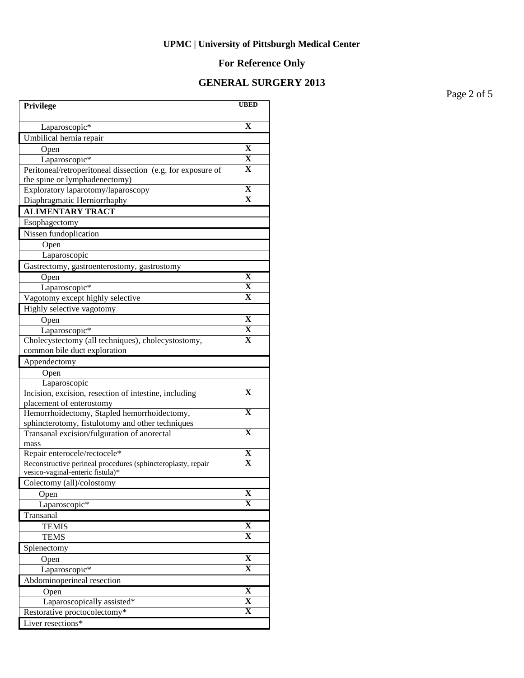## **For Reference Only**

### **GENERAL SURGERY 2013**

Page 2 of 5

| Privilege                                                                         | <b>UBED</b>                  |
|-----------------------------------------------------------------------------------|------------------------------|
| Laparoscopic*                                                                     | $\overline{\mathbf{X}}$      |
| Umbilical hernia repair                                                           |                              |
| Open                                                                              | X                            |
| Laparoscopic*                                                                     | X                            |
| Peritoneal/retroperitoneal dissection (e.g. for exposure of                       | x                            |
| the spine or lymphadenectomy)                                                     |                              |
| Exploratory laparotomy/laparoscopy                                                | X                            |
| Diaphragmatic Herniorrhaphy                                                       | $\overline{\mathbf{X}}$      |
| <b>ALIMENTARY TRACT</b>                                                           |                              |
| Esophagectomy                                                                     |                              |
| Nissen fundoplication                                                             |                              |
| Open                                                                              |                              |
| Laparoscopic                                                                      |                              |
| Gastrectomy, gastroenterostomy, gastrostomy                                       |                              |
| Open                                                                              | $\mathbf X$                  |
| Laparoscopic*                                                                     | $\overline{\mathbf{X}}$      |
| Vagotomy except highly selective                                                  | x                            |
| Highly selective vagotomy                                                         |                              |
| Open                                                                              | X                            |
| Laparoscopic*                                                                     | $\overline{\mathbf{X}}$      |
| Cholecystectomy (all techniques), cholecystostomy,                                | $\overline{\mathbf{X}}$      |
| common bile duct exploration                                                      |                              |
| Appendectomy                                                                      |                              |
| Open                                                                              |                              |
| Laparoscopic                                                                      | X                            |
| Incision, excision, resection of intestine, including<br>placement of enterostomy |                              |
| Hemorrhoidectomy, Stapled hemorrhoidectomy,                                       | X                            |
| sphincterotomy, fistulotomy and other techniques                                  |                              |
| Transanal excision/fulguration of anorectal                                       | $\overline{\textbf{X}}$      |
| mass                                                                              |                              |
| Repair enterocele/rectocele*                                                      | $\overline{\mathbf{X}}$      |
| Reconstructive perineal procedures (sphincteroplasty, repair                      | $\overline{\textbf{X}}$      |
| vesico-vaginal-enteric fistula)*                                                  |                              |
| Colectomy (all)/colostomy                                                         |                              |
| Open                                                                              | X<br>X                       |
| Laparoscopic*                                                                     |                              |
| Transanal                                                                         |                              |
| <b>TEMIS</b><br><b>TEMS</b>                                                       | X<br>X                       |
|                                                                                   |                              |
| Splenectomy                                                                       | $\overline{\mathbf{X}}$      |
| Open                                                                              | $\mathbf X$                  |
| Laparoscopic*                                                                     |                              |
| Abdominoperineal resection                                                        |                              |
| Open                                                                              | X<br>$\overline{\mathbf{X}}$ |
| Laparoscopically assisted*                                                        | X                            |
| Restorative proctocolectomy*<br>Liver resections*                                 |                              |
|                                                                                   |                              |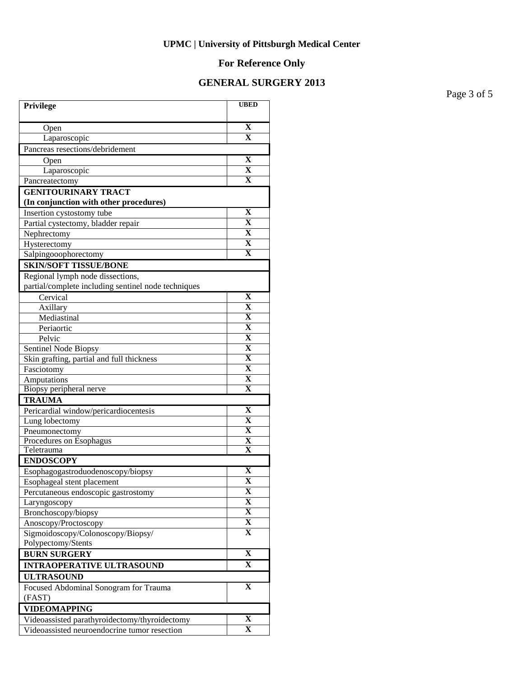## **For Reference Only**

### **GENERAL SURGERY 2013**

Page 3 of 5

| Privilege                                                            | <b>UBED</b>                  |
|----------------------------------------------------------------------|------------------------------|
|                                                                      |                              |
| Open                                                                 | $\mathbf X$                  |
| Laparoscopic                                                         | $\overline{\textbf{X}}$      |
| Pancreas resections/debridement                                      |                              |
| Open                                                                 | $\mathbf X$                  |
| Laparoscopic                                                         | $\overline{\textbf{X}}$      |
| Pancreatectomy                                                       | $\overline{\mathbf{X}}$      |
| <b>GENITOURINARY TRACT</b><br>(In conjunction with other procedures) |                              |
| Insertion cystostomy tube                                            | X                            |
| Partial cystectomy, bladder repair                                   | $\mathbf X$                  |
| Nephrectomy                                                          | $\mathbf X$                  |
| Hysterectomy                                                         | $\mathbf X$                  |
| Salpingooophorectomy                                                 | $\mathbf X$                  |
| <b>SKIN/SOFT TISSUE/BONE</b>                                         |                              |
| Regional lymph node dissections,                                     |                              |
| partial/complete including sentinel node techniques                  |                              |
| Cervical                                                             | $\mathbf X$                  |
| Axillary                                                             | $\overline{\textbf{X}}$      |
| Mediastinal                                                          | $\overline{\mathbf{X}}$      |
| Periaortic                                                           | $\overline{\mathbf{X}}$      |
| Pelvic                                                               | $\overline{\mathbf{X}}$      |
| Sentinel Node Biopsy                                                 | $\overline{\mathbf{X}}$      |
| Skin grafting, partial and full thickness                            | $\overline{\mathbf{X}}$      |
| Fasciotomy                                                           | $\overline{\mathbf{X}}$      |
| Amputations                                                          | $\overline{\mathbf{X}}$      |
| Biopsy peripheral nerve                                              | X                            |
| <b>TRAUMA</b>                                                        |                              |
| Pericardial window/pericardiocentesis                                | $\mathbf X$                  |
| Lung lobectomy                                                       | X                            |
| Pneumonectomy                                                        | X                            |
| Procedures on Esophagus                                              | $\overline{\textbf{X}}$      |
| Teletrauma                                                           | $\mathbf X$                  |
| <b>ENDOSCOPY</b>                                                     |                              |
| Esophagogastroduodenoscopy/biopsy                                    | X                            |
| Esophageal stent placement                                           | $\overline{\mathbf{X}}$<br>X |
| Percutaneous endoscopic gastrostomy                                  | X                            |
| Laryngoscopy                                                         | $\overline{\mathbf{X}}$      |
| Bronchoscopy/biopsy                                                  | X                            |
| Anoscopy/Proctoscopy<br>Sigmoidoscopy/Colonoscopy/Biopsy/            | X                            |
| Polypectomy/Stents                                                   |                              |
| <b>BURN SURGERY</b>                                                  | $\overline{\mathbf{X}}$      |
| <b>INTRAOPERATIVE ULTRASOUND</b>                                     | X                            |
| <b>ULTRASOUND</b>                                                    |                              |
| Focused Abdominal Sonogram for Trauma                                | $\mathbf X$                  |
| (FAST)                                                               |                              |
| <b>VIDEOMAPPING</b>                                                  |                              |
| Videoassisted parathyroidectomy/thyroidectomy                        | X                            |
| Videoassisted neuroendocrine tumor resection                         | $\overline{\mathbf{X}}$      |
|                                                                      |                              |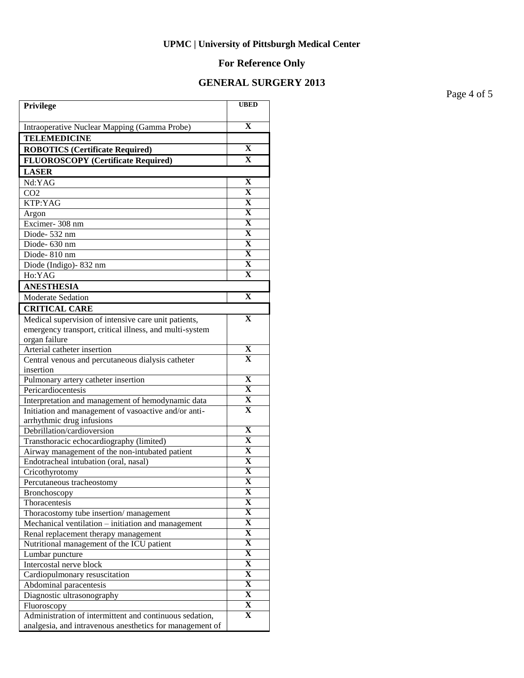## **For Reference Only**

### **GENERAL SURGERY 2013**

Page 4 of 5

| Privilege                                                                                                           | <b>UBED</b>                            |
|---------------------------------------------------------------------------------------------------------------------|----------------------------------------|
| Intraoperative Nuclear Mapping (Gamma Probe)                                                                        | $\mathbf x$                            |
| <b>TELEMEDICINE</b>                                                                                                 |                                        |
| <b>ROBOTICS (Certificate Required)</b>                                                                              | X                                      |
| <b>FLUOROSCOPY</b> (Certificate Required)                                                                           | $\mathbf{x}$                           |
| <b>LASER</b>                                                                                                        |                                        |
| Nd:YAG                                                                                                              | $\mathbf X$                            |
| CO <sub>2</sub>                                                                                                     | $\mathbf X$                            |
| KTP:YAG                                                                                                             | $\mathbf X$                            |
| Argon                                                                                                               | $\overline{\mathbf{X}}$                |
| Excimer-308 nm                                                                                                      | $\overline{\mathbf{X}}$                |
| Diode-532 nm                                                                                                        | $\overline{\mathbf{X}}$                |
| Diode-630 nm                                                                                                        | $\overline{\mathbf{X}}$                |
| Diode-810 nm                                                                                                        | $\overline{\mathbf{X}}$                |
| Diode (Indigo) - 832 nm                                                                                             | $\mathbf X$                            |
| Ho:YAG                                                                                                              | $\overline{\mathbf{X}}$                |
| <b>ANESTHESIA</b>                                                                                                   |                                        |
| <b>Moderate Sedation</b>                                                                                            | $\mathbf X$                            |
| <b>CRITICAL CARE</b>                                                                                                |                                        |
| Medical supervision of intensive care unit patients,                                                                | $\mathbf X$                            |
| emergency transport, critical illness, and multi-system                                                             |                                        |
| organ failure                                                                                                       |                                        |
| Arterial catheter insertion                                                                                         | X                                      |
| Central venous and percutaneous dialysis catheter                                                                   | $\mathbf X$                            |
| insertion                                                                                                           |                                        |
| Pulmonary artery catheter insertion                                                                                 | $\mathbf X$                            |
| Pericardiocentesis                                                                                                  | $\overline{\mathbf{X}}$                |
| Interpretation and management of hemodynamic data                                                                   | $\overline{\mathbf{X}}$<br>$\mathbf x$ |
| Initiation and management of vasoactive and/or anti-                                                                |                                        |
| arrhythmic drug infusions<br>Debrillation/cardioversion                                                             | X                                      |
| Transthoracic echocardiography (limited)                                                                            | $\mathbf X$                            |
| Airway management of the non-intubated patient                                                                      | $\mathbf X$                            |
| Endotracheal intubation (oral, nasal)                                                                               | X                                      |
| Cricothyrotomy                                                                                                      | $\overline{\mathbf{X}}$                |
| Percutaneous tracheostomy                                                                                           | $\overline{\mathbf{X}}$                |
| Bronchoscopy                                                                                                        | x                                      |
| Thoracentesis                                                                                                       | X                                      |
| Thoracostomy tube insertion/management                                                                              | $\overline{\mathbf{X}}$                |
| Mechanical ventilation – initiation and management                                                                  | $\overline{\mathbf{X}}$                |
| Renal replacement therapy management                                                                                | $\overline{\mathbf{X}}$                |
| Nutritional management of the ICU patient                                                                           | $\overline{\mathbf{X}}$                |
| Lumbar puncture                                                                                                     | $\overline{\mathbf{X}}$                |
| Intercostal nerve block                                                                                             | $\overline{\mathbf{X}}$                |
| Cardiopulmonary resuscitation                                                                                       | $\overline{\mathbf{X}}$                |
| Abdominal paracentesis                                                                                              | $\overline{\mathbf{X}}$                |
| Diagnostic ultrasonography                                                                                          | $\overline{\mathbf{X}}$                |
| Fluoroscopy                                                                                                         | X                                      |
| Administration of intermittent and continuous sedation,<br>analgesia, and intravenous anesthetics for management of | X                                      |